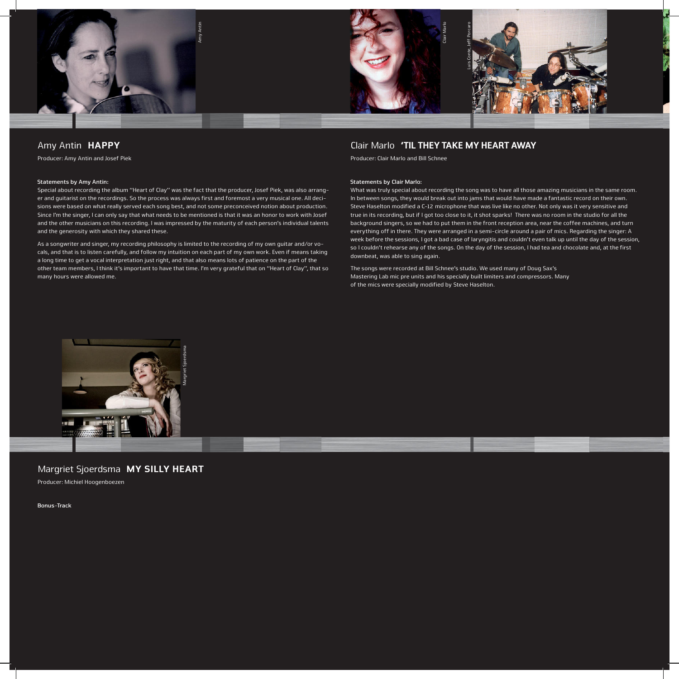

### Amy Antin HAPPY

Producer: Amy Antin and Josef Piek

#### **Statements by Amy Antin:**

Special about recording the album "Heart of Clay" was the fact that the producer, Josef Piek, was also arranger and guitarist on the recordings. So the process was always first and foremost a very musical one. All decisions were based on what really served each song best, and not some preconceived notion about production. Since I'm the singer, I can only say that what needs to be mentioned is that it was an honor to work with Josef and the other musicians on this recording. I was impressed by the maturity of each person's individual talents and the generosity with which they shared these.

As a songwriter and singer, my recording philosophy is limited to the recording of my own guitar and/or vocals, and that is to listen carefully, and follow my intuition on each part of my own work. Even if means taking a long time to get a vocal interpretation just right, and that also means lots of patience on the part of the other team members, I think it's important to have that time. I'm very grateful that on "Heart of Clay", that so many hours were allowed me.

# Clair Marlo 'TIL THEY TAKE MY HEART AWAY

Producer: Clair Marlo and Bill Schnee

#### **Statements by Clair Marlo:**

What was truly special about recording the song was to have all those amazing musicians in the same room. In between songs, they would break out into jams that would have made a fantastic record on their own. Steve Haselton modified a C-12 microphone that was live like no other. Not only was it very sensitive and true in its recording, but if I got too close to it, it shot sparks! There was no room in the studio for all the background singers, so we had to put them in the front reception area, near the coffee machines, and turn everything off in there. They were arranged in a semi-circle around a pair of mics. Regarding the singer: A week before the sessions, I got a bad case of laryngitis and couldn't even talk up until the day of the session, so I couldn't rehearse any of the songs. On the day of the session, I had tea and chocolate and, at the first downbeat, was able to sing again.

The songs were recorded at Bill Schnee's studio. We used many of Doug Sax's Mastering Lab mic pre units and his specially built limiters and compressors. Many of the mics were specially modified by Steve Haselton.



## Margriet Sjoerdsma MY SILLY HEART Producer: Michiel Hoogenboezen

**Bonus-Track**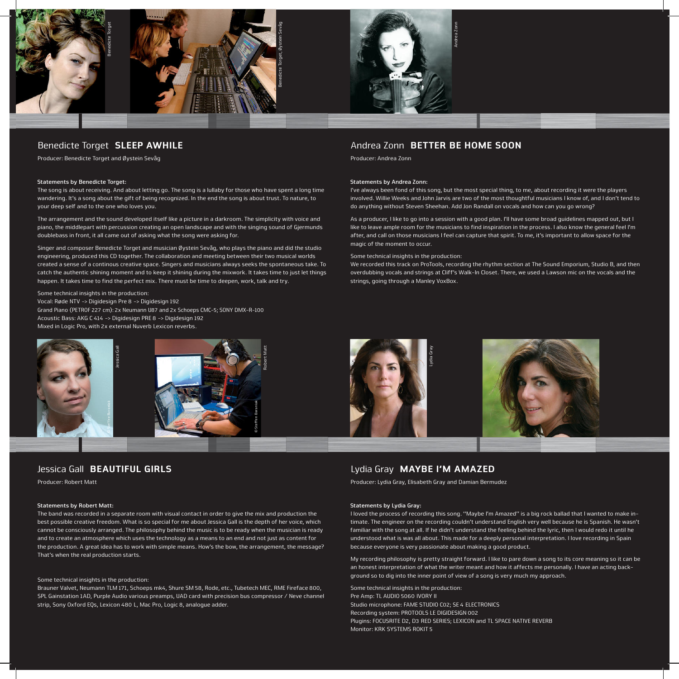

### Benedicte Torget SLEEP AWHILE

Producer: Benedicte Torget and Øystein Sevåg

#### **Statements by Benedicte Torget:**

The song is about receiving. And about letting go. The song is a lullaby for those who have spent a long time wandering. It's a song about the gift of being recognized. In the end the song is about trust. To nature, to your deep self and to the one who loves you.

The arrangement and the sound developed itself like a picture in a darkroom. The simplicity with voice and piano, the middlepart with percussion creating an open landscape and with the singing sound of Gjermunds doublebass in front, it all came out of asking what the song were asking for.

Singer and composer Benedicte Torget and musician Øystein Sevåg, who plays the piano and did the studio engineering, produced this CD together. The collaboration and meeting between their two musical worlds created a sense of a continous creative space. Singers and musicians always seeks the spontaneous take. To catch the authentic shining moment and to keep it shining during the mixwork. It takes time to just let things happen. It takes time to find the perfect mix. There must be time to deepen, work, talk and try.

Some technical insights in the production: Vocal: Røde NTV -> Digidesign Pre 8 -> Digidesign 192 Grand Piano (PETROF 227 cm): 2x Neumann U87 and 2x Schoeps CMC-5; SONY DMX-R-100 Acoustic Bass: AKG C 414 -> Digidesign PRE 8 -> Digidesign 192



## Jessica Gall **BEAUTIFUL GIRLS**

Producer: Robert Matt

#### **Statements by Robert Matt:**

The band was recorded in a separate room with visual contact in order to give the mix and production the best possible creative freedom. What is so special for me about Jessica Gall is the depth of her voice, which cannot be consciously arranged. The philosophy behind the music is to be ready when the musician is ready and to create an atmosphere which uses the technology as a means to an end and not just as content for the production. A great idea has to work with simple means. How's the bow, the arrangement, the message? That's when the real production starts.

#### Some technical insights in the production:

Brauner Valvet, Neumann TLM 171, Schoeps mk4, Shure SM 58, Rode, etc., Tubetech MEC, RME Fireface 800, SPL Gainstation 1AD, Purple Audio various preamps, UAD card with precision bus compressor / Neve channel

### Andrea Zonn BETTER BE HOME SOON

Producer: Andrea Zonn

#### **Statements by Andrea Zonn:**

I've always been fond of this song, but the most special thing, to me, about recording it were the players involved. Willie Weeks and John Jarvis are two of the most thoughtful musicians I know of, and I don't tend to do anything without Steven Sheehan. Add Jon Randall on vocals and how can you go wrong?

As a producer, I like to go into a session with a good plan. I'll have some broad guidelines mapped out, but I like to leave ample room for the musicians to find inspiration in the process. I also know the general feel I'm after, and call on those musicians I feel can capture that spirit. To me, it's important to allow space for the magic of the moment to occur.

#### Some technical insights in the production:

We recorded this track on ProTools, recording the rhythm section at The Sound Emporium, Studio B, and then overdubbing vocals and strings at Cliff's Walk-In Closet. There, we used a Lawson mic on the vocals and the



## Lydia Gray MAYBE I'M AMAZED

Producer: Lydia Gray, Elisabeth Gray and Damian Bermudez

#### **Statements by Lydia Gray:**

I loved the process of recording this song. "Maybe I'm Amazed" is a big rock ballad that I wanted to make intimate. The engineer on the recording couldn't understand English very well because he is Spanish. He wasn't familiar with the song at all. If he didn't understand the feeling behind the lyric, then I would redo it until he understood what is was all about. This made for a deeply personal interpretation. I love recording in Spain because everyone is very passionate about making a good product.

My recording philosophy is pretty straight forward. I like to pare down a song to its core meaning so it can be an honest interpretation of what the writer meant and how it affects me personally. I have an acting background so to dig into the inner point of view of a song is very much my approach.

Some technical insights in the production: Pre Amp: TL AUDIO 5060 IVORY II Studio microphone: FAME STUDIO C02; SE 4 ELECTRONICS Recording system: PROTOOLS LE DIGIDESIGN 002 Plugins: FOCUSRITE D2, D3 RED SERIES; LEXICON and TL SPACE NATIVE REVERB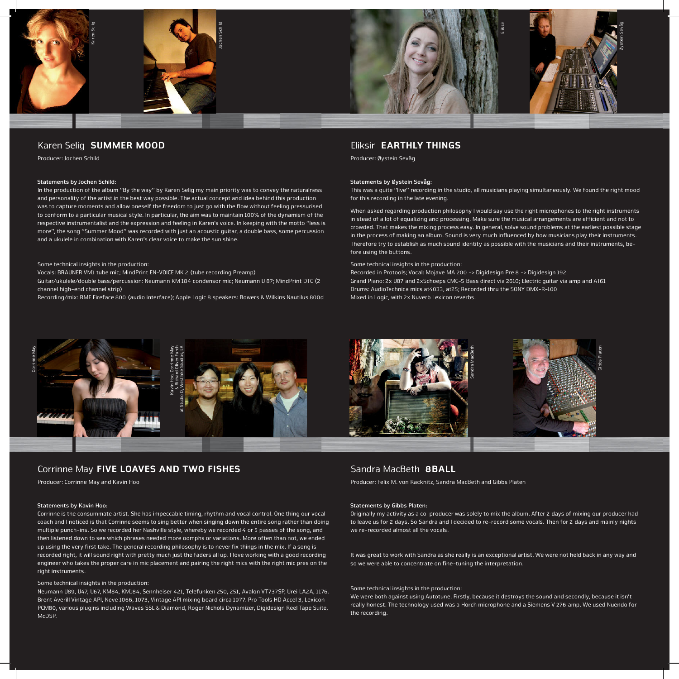

### Karen Selig SUMMER MOOD

Producer: Jochen Schild

#### **Statements by Jochen Schild:**

In the production of the album "By the way" by Karen Selig my main priority was to convey the naturalness and personality of the artist in the best way possible. The actual concept and idea behind this production was to capture moments and allow oneself the freedom to just go with the flow without feeling pressurised to conform to a particular musical style. In particular, the aim was to maintain 100% of the dynamism of the respective instrumentalist and the expression and feeling in Karen's voice. In keeping with the motto "less is more", the song "Summer Mood" was recorded with just an acoustic guitar, a double bass, some percussion and a ukulele in combination with Karen's clear voice to make the sun shine.

#### Some technical insights in the production:

Vocals: BRAUNER VM1 tube mic; MindPrint EN-VOICE MK 2 (tube recording Preamp) Guitar/ukulele/double bass/percussion: Neumann KM 184 condensor mic; Neumann U 87; MindPrint DTC (2 channel high-end channel strip)

Recording/mix: RME Fireface 800 (audio interface); Apple Logic 8 speakers: Bowers & Wilkins Nautilus 800d

### Eliksir EARTHLY THINGS

Producer: Øystein Sevåg

#### **Statements by Øystein Sevåg:**

This was a quite "live" recording in the studio, all musicians playing simultaneously. We found the right mood for this recording in the late evening.

When asked regarding production philosophy I would say use the right microphones to the right instruments in stead of a lot of equalizing and processing. Make sure the musical arrangements are efficient and not to crowded. That makes the mixing process easy. In general, solve sound problems at the earliest possible stage in the process of making an album. Sound is very much influenced by how musicians play their instruments. Therefore try to establish as much sound identity as possible with the musicians and their instruments, before using the buttons.

#### Some technical insights in the production:

Recorded in Protools; Vocal: Mojave MA 200 -> Digidesign Pre 8 -> Digidesign 192 Grand Piano: 2x U87 and 2xSchoeps CMC-5 Bass direct via 2610; Electric guitar via amp and AT61 Drums: AudioTechnica mics at4033, at25; Recorded thru the SONY DMX-R-100 Mixed in Logic, with 2x Nuverb Lexicon reverbs.



## Corrinne May FIVE LOAVES AND TWO FISHES

Producer: Corrinne May and Kavin Hoo

#### **Statements by Kavin Hoo:**

Corrinne is the consummate artist. She has impeccable timing, rhythm and vocal control. One thing our vocal coach and I noticed is that Corrinne seems to sing better when singing down the entire song rather than doing multiple punch-ins. So we recorded her Nashville style, whereby we recorded 4 or 5 passes of the song, and then listened down to see which phrases needed more oomphs or variations. More often than not, we ended up using the very first take. The general recording philosophy is to never fix things in the mix. If a song is recorded right, it will sound right with pretty much just the faders all up. I love working with a good recording engineer who takes the proper care in mic placement and pairing the right mics with the right mic pres on the right instruments.

#### Some technical insights in the production:

Neumann U89, U47, U67, KM84, KM184, Sennheiser 421, Telefunken 250, 251, Avalon VT737SP, Urei LA2A, 1176. Brent Averill Vintage API, Neve 1066, 1073, Vintage API mixing board circa 1977. Pro Tools HD Accel 3, Lexicon PCM80, various plugins including Waves SSL & Diamond, Roger Nichols Dynamizer, Digidesign Reel Tape Suite, McDSP.

### Sandra MacBeth **8BALL**

Producer: Felix M. von Racknitz, Sandra MacBeth and Gibbs Platen

#### **Statements by Gibbs Platen:**

Originally my activity as a co-producer was solely to mix the album. After 2 days of mixing our producer had to leave us for 2 days. So Sandra and I decided to re-record some vocals. Then for 2 days and mainly nights we re-recorded almost all the vocals.

It was great to work with Sandra as she really is an exceptional artist. We were not held back in any way and so we were able to concentrate on fine-tuning the interpretation.

### Some technical insights in the production:

We were both against using Autotune. Firstly, because it destroys the sound and secondly, because it isn't really honest. The technology used was a Horch microphone and a Siemens V 276 amp. We used Nuendo for the recording.